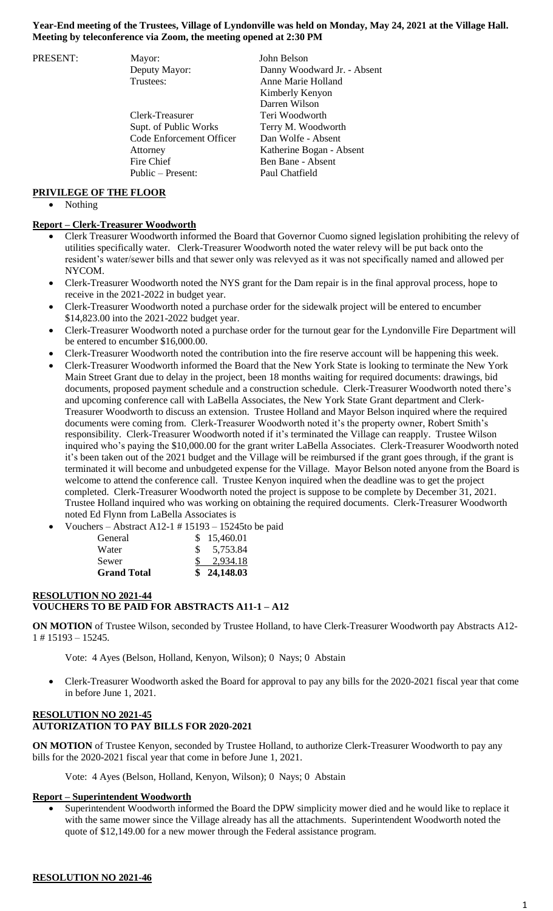#### **Year-End meeting of the Trustees, Village of Lyndonville was held on Monday, May 24, 2021 at the Village Hall. Meeting by teleconference via Zoom, the meeting opened at 2:30 PM**

PRESENT: Mayor: John Belson

Clerk-Treasurer Teri Woodworth Supt. of Public Works Terry M. Woodworth Code Enforcement Officer Dan Wolfe - Absent Attorney Katherine Bogan - Absent Fire Chief Ben Bane - Absent Public – Present: Paul Chatfield

Deputy Mayor: Danny Woodward Jr. - Absent Trustees: Anne Marie Holland Kimberly Kenyon Darren Wilson

#### **PRIVILEGE OF THE FLOOR**

Nothing

## **Report – Clerk-Treasurer Woodworth**

- Clerk Treasurer Woodworth informed the Board that Governor Cuomo signed legislation prohibiting the relevy of utilities specifically water. Clerk-Treasurer Woodworth noted the water relevy will be put back onto the resident's water/sewer bills and that sewer only was relevyed as it was not specifically named and allowed per NYCOM.
- Clerk-Treasurer Woodworth noted the NYS grant for the Dam repair is in the final approval process, hope to receive in the 2021-2022 in budget year.
- Clerk-Treasurer Woodworth noted a purchase order for the sidewalk project will be entered to encumber \$14,823.00 into the 2021-2022 budget year.
- Clerk-Treasurer Woodworth noted a purchase order for the turnout gear for the Lyndonville Fire Department will be entered to encumber \$16,000.00.
- Clerk-Treasurer Woodworth noted the contribution into the fire reserve account will be happening this week.
- Clerk-Treasurer Woodworth informed the Board that the New York State is looking to terminate the New York Main Street Grant due to delay in the project, been 18 months waiting for required documents: drawings, bid documents, proposed payment schedule and a construction schedule. Clerk-Treasurer Woodworth noted there's and upcoming conference call with LaBella Associates, the New York State Grant department and Clerk-Treasurer Woodworth to discuss an extension. Trustee Holland and Mayor Belson inquired where the required documents were coming from. Clerk-Treasurer Woodworth noted it's the property owner, Robert Smith's responsibility. Clerk-Treasurer Woodworth noted if it's terminated the Village can reapply. Trustee Wilson inquired who's paying the \$10,000.00 for the grant writer LaBella Associates. Clerk-Treasurer Woodworth noted it's been taken out of the 2021 budget and the Village will be reimbursed if the grant goes through, if the grant is terminated it will become and unbudgeted expense for the Village. Mayor Belson noted anyone from the Board is welcome to attend the conference call. Trustee Kenyon inquired when the deadline was to get the project completed. Clerk-Treasurer Woodworth noted the project is suppose to be complete by December 31, 2021. Trustee Holland inquired who was working on obtaining the required documents. Clerk-Treasurer Woodworth noted Ed Flynn from LaBella Associates is
- Vouchers Abstract A12-1 # 15193 15245to be paid

| General            | \$15,460.01 |
|--------------------|-------------|
| Water              | \$5,753.84  |
| Sewer              | 2,934.18    |
| <b>Grand Total</b> | \$24,148.03 |

## **RESOLUTION NO 2021-44 VOUCHERS TO BE PAID FOR ABSTRACTS A11-1 – A12**

**ON MOTION** of Trustee Wilson, seconded by Trustee Holland, to have Clerk-Treasurer Woodworth pay Abstracts A12- 1 # 15193 – 15245.

Vote: 4 Ayes (Belson, Holland, Kenyon, Wilson); 0 Nays; 0 Abstain

 Clerk-Treasurer Woodworth asked the Board for approval to pay any bills for the 2020-2021 fiscal year that come in before June 1, 2021.

# **RESOLUTION NO 2021-45 AUTORIZATION TO PAY BILLS FOR 2020-2021**

**ON MOTION** of Trustee Kenyon, seconded by Trustee Holland, to authorize Clerk-Treasurer Woodworth to pay any bills for the 2020-2021 fiscal year that come in before June 1, 2021.

Vote: 4 Ayes (Belson, Holland, Kenyon, Wilson); 0 Nays; 0 Abstain

#### **Report – Superintendent Woodworth**

 Superintendent Woodworth informed the Board the DPW simplicity mower died and he would like to replace it with the same mower since the Village already has all the attachments. Superintendent Woodworth noted the quote of \$12,149.00 for a new mower through the Federal assistance program.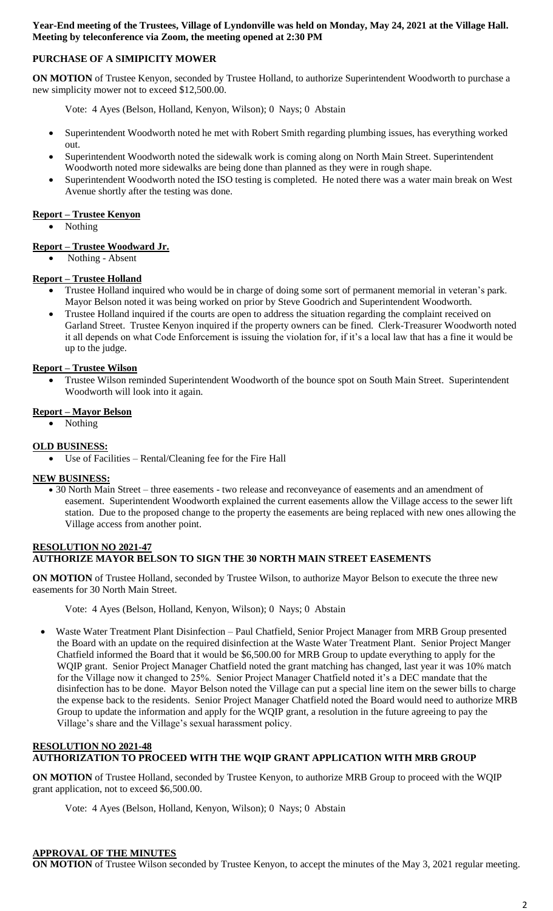**Year-End meeting of the Trustees, Village of Lyndonville was held on Monday, May 24, 2021 at the Village Hall. Meeting by teleconference via Zoom, the meeting opened at 2:30 PM**

# **PURCHASE OF A SIMIPICITY MOWER**

**ON MOTION** of Trustee Kenyon, seconded by Trustee Holland, to authorize Superintendent Woodworth to purchase a new simplicity mower not to exceed \$12,500.00.

- Vote: 4 Ayes (Belson, Holland, Kenyon, Wilson); 0 Nays; 0 Abstain
- Superintendent Woodworth noted he met with Robert Smith regarding plumbing issues, has everything worked out.
- Superintendent Woodworth noted the sidewalk work is coming along on North Main Street. Superintendent Woodworth noted more sidewalks are being done than planned as they were in rough shape.
- Superintendent Woodworth noted the ISO testing is completed. He noted there was a water main break on West Avenue shortly after the testing was done.

## **Report – Trustee Kenyon**

• Nothing

## **Report – Trustee Woodward Jr.**

Nothing - Absent

### **Report – Trustee Holland**

- Trustee Holland inquired who would be in charge of doing some sort of permanent memorial in veteran's park. Mayor Belson noted it was being worked on prior by Steve Goodrich and Superintendent Woodworth.
- Trustee Holland inquired if the courts are open to address the situation regarding the complaint received on Garland Street. Trustee Kenyon inquired if the property owners can be fined. Clerk-Treasurer Woodworth noted it all depends on what Code Enforcement is issuing the violation for, if it's a local law that has a fine it would be up to the judge.

### **Report – Trustee Wilson**

 Trustee Wilson reminded Superintendent Woodworth of the bounce spot on South Main Street. Superintendent Woodworth will look into it again.

### **Report – Mayor Belson**

Nothing

### **OLD BUSINESS:**

Use of Facilities – Rental/Cleaning fee for the Fire Hall

## **NEW BUSINESS:**

 30 North Main Street – three easements - two release and reconveyance of easements and an amendment of easement. Superintendent Woodworth explained the current easements allow the Village access to the sewer lift station. Due to the proposed change to the property the easements are being replaced with new ones allowing the Village access from another point.

#### **RESOLUTION NO 2021-47 AUTHORIZE MAYOR BELSON TO SIGN THE 30 NORTH MAIN STREET EASEMENTS**

**ON MOTION** of Trustee Holland, seconded by Trustee Wilson, to authorize Mayor Belson to execute the three new easements for 30 North Main Street.

Vote: 4 Ayes (Belson, Holland, Kenyon, Wilson); 0 Nays; 0 Abstain

 Waste Water Treatment Plant Disinfection – Paul Chatfield, Senior Project Manager from MRB Group presented the Board with an update on the required disinfection at the Waste Water Treatment Plant. Senior Project Manger Chatfield informed the Board that it would be \$6,500.00 for MRB Group to update everything to apply for the WQIP grant. Senior Project Manager Chatfield noted the grant matching has changed, last year it was 10% match for the Village now it changed to 25%. Senior Project Manager Chatfield noted it's a DEC mandate that the disinfection has to be done. Mayor Belson noted the Village can put a special line item on the sewer bills to charge the expense back to the residents. Senior Project Manager Chatfield noted the Board would need to authorize MRB Group to update the information and apply for the WQIP grant, a resolution in the future agreeing to pay the Village's share and the Village's sexual harassment policy.

### **RESOLUTION NO 2021-48 AUTHORIZATION TO PROCEED WITH THE WQIP GRANT APPLICATION WITH MRB GROUP**

**ON MOTION** of Trustee Holland, seconded by Trustee Kenyon, to authorize MRB Group to proceed with the WQIP grant application, not to exceed \$6,500.00.

Vote: 4 Ayes (Belson, Holland, Kenyon, Wilson); 0 Nays; 0 Abstain